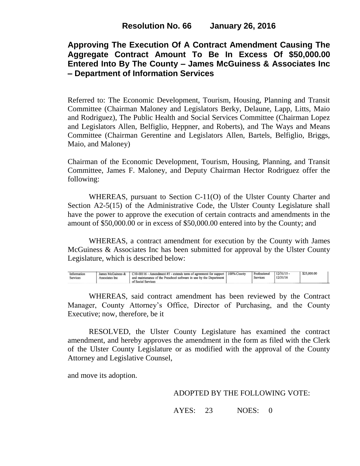# **Approving The Execution Of A Contract Amendment Causing The Aggregate Contract Amount To Be In Excess Of \$50,000.00 Entered Into By The County – James McGuiness & Associates Inc – Department of Information Services**

Referred to: The Economic Development, Tourism, Housing, Planning and Transit Committee (Chairman Maloney and Legislators Berky, Delaune, Lapp, Litts, Maio and Rodriguez), The Public Health and Social Services Committee (Chairman Lopez and Legislators Allen, Belfiglio, Heppner, and Roberts), and The Ways and Means Committee (Chairman Gerentine and Legislators Allen, Bartels, Belfiglio, Briggs, Maio, and Maloney)

Chairman of the Economic Development, Tourism, Housing, Planning, and Transit Committee, James F. Maloney, and Deputy Chairman Hector Rodriguez offer the following:

WHEREAS, pursuant to Section C-11(O) of the Ulster County Charter and Section A2-5(15) of the Administrative Code, the Ulster County Legislature shall have the power to approve the execution of certain contracts and amendments in the amount of \$50,000.00 or in excess of \$50,000.00 entered into by the County; and

WHEREAS, a contract amendment for execution by the County with James McGuiness & Associates Inc has been submitted for approval by the Ulster County Legislature, which is described below:

| Information<br>Services | James McGuiness &<br>Associates Inc. | C10-00116 - Amendment #5 - extends term of agreement for support   100% County<br>and maintenance of the Preschool software in use by the Department<br>of Social Services | Professional<br>Services | 12/31/15<br>12/31/16 | \$25,000.00 |  |
|-------------------------|--------------------------------------|----------------------------------------------------------------------------------------------------------------------------------------------------------------------------|--------------------------|----------------------|-------------|--|
|                         |                                      |                                                                                                                                                                            |                          |                      |             |  |

WHEREAS, said contract amendment has been reviewed by the Contract Manager, County Attorney's Office, Director of Purchasing, and the County Executive; now, therefore, be it

RESOLVED, the Ulster County Legislature has examined the contract amendment, and hereby approves the amendment in the form as filed with the Clerk of the Ulster County Legislature or as modified with the approval of the County Attorney and Legislative Counsel,

and move its adoption.

#### ADOPTED BY THE FOLLOWING VOTE:

AYES: 23 NOES: 0